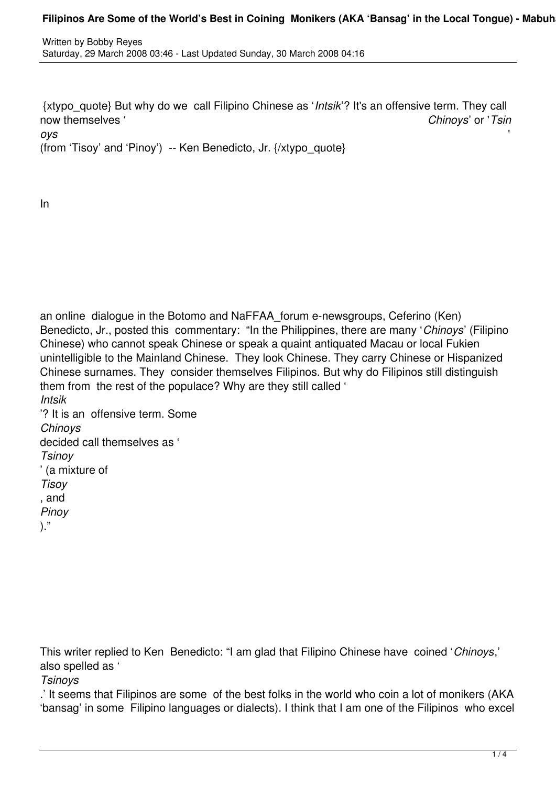{xtypo\_quote} But why do we call Filipino Chinese as '*Intsik*'? It's an offensive term. They call now themselves ' *Chinoys*' or '*Tsin*

*oys* '

(from 'Tisoy' and 'Pinoy') -- Ken Benedicto, Jr. {/xtypo\_quote}

In

an online dialogue in the Botomo and NaFFAA\_forum e-newsgroups, Ceferino (Ken) Benedicto, Jr., posted this commentary: "In the Philippines, there are many '*Chinoys*' (Filipino Chinese) who cannot speak Chinese or speak a quaint antiquated Macau or local Fukien unintelligible to the Mainland Chinese. They look Chinese. They carry Chinese or Hispanized Chinese surnames. They consider themselves Filipinos. But why do Filipinos still distinguish them from the rest of the populace? Why are they still called ' *Intsik*

'? It is an offensive term. Some *Chinoys* decided call themselves as ' *Tsinoy* ' (a mixture of *Tisoy* , and *Pinoy*

)."

This writer replied to Ken Benedicto: "I am glad that Filipino Chinese have coined '*Chinoys*,' also spelled as '

*Tsinoys*

.' It seems that Filipinos are some of the best folks in the world who coin a lot of monikers (AKA 'bansag' in some Filipino languages or dialects). I think that I am one of the Filipinos who excel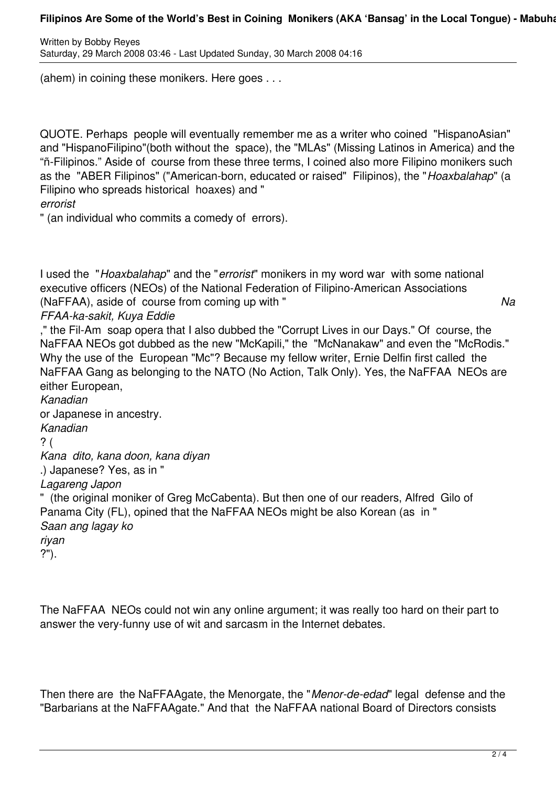## Filipinos Are Some of the World's Best in Coining Monikers (AKA 'Bansag' in the Local Tongue) - Mabuha

Written by Bobby Reyes Saturday, 29 March 2008 03:46 - Last Updated Sunday, 30 March 2008 04:16

(ahem) in coining these monikers. Here goes . . .

QUOTE. Perhaps people will eventually remember me as a writer who coined "HispanoAsian" and "HispanoFilipino"(both without the space), the "MLAs" (Missing Latinos in America) and the "ñ-Filipinos." Aside of course from these three terms, I coined also more Filipino monikers such as the "ABER Filipinos" ("American-born, educated or raised" Filipinos), the "*Hoaxbalahap*" (a Filipino who spreads historical hoaxes) and "

*errorist*

" (an individual who commits a comedy of errors).

I used the "*Hoaxbalahap*" and the "*errorist*" monikers in my word war with some national executive officers (NEOs) of the National Federation of Filipino-American Associations (NaFFAA), aside of course from coming up with " *Na*

*FFAA-ka-sakit, Kuya Eddie*

," the Fil-Am soap opera that I also dubbed the "Corrupt Lives in our Days." Of course, the NaFFAA NEOs got dubbed as the new "McKapili," the "McNanakaw" and even the "McRodis." Why the use of the European "Mc"? Because my fellow writer, Ernie Delfin first called the NaFFAA Gang as belonging to the NATO (No Action, Talk Only). Yes, the NaFFAA NEOs are either European,

*Kanadian* or Japanese in ancestry. *Kanadian* ? ( *Kana dito, kana doon, kana diyan* .) Japanese? Yes, as in " *Lagareng Japon* " (the original moniker of Greg McCabenta). But then one of our readers, Alfred Gilo of Panama City (FL), opined that the NaFFAA NEOs might be also Korean (as in " *Saan ang lagay ko riyan* ?").

The NaFFAA NEOs could not win any online argument; it was really too hard on their part to answer the very-funny use of wit and sarcasm in the Internet debates.

Then there are the NaFFAAgate, the Menorgate, the "*Menor-de-edad*" legal defense and the "Barbarians at the NaFFAAgate." And that the NaFFAA national Board of Directors consists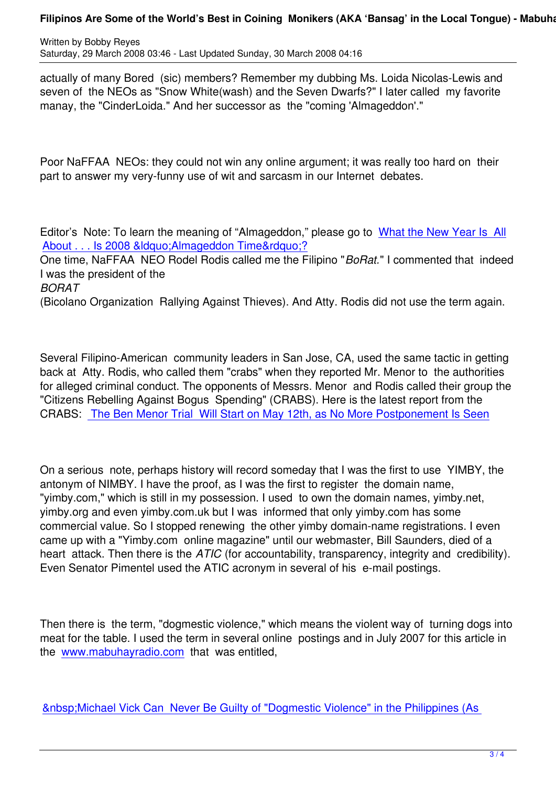actually of many Bored (sic) members? Remember my dubbing Ms. Loida Nicolas-Lewis and seven of the NEOs as "Snow White(wash) and the Seven Dwarfs?" I later called my favorite manay, the "CinderLoida." And her successor as the "coming 'Almageddon'."

Poor NaFFAA NEOs: they could not win any online argument; it was really too hard on their part to answer my very-funny use of wit and sarcasm in our Internet debates.

Editor's Note: To learn the meaning of "Almageddon," please go to What the New Year Is All About . . . Is 2008 &Idquo; Almageddon Time & rdquo; ?

One time, NaFFAA NEO Rodel Rodis called me the Filipino "*BoRat.*" I commented that indeed I was the president of the

*[BORAT](content/view/857/51)*

(Bicolano Organization Rallying Against Thieves). And Atty. Rodis did not use the term again.

Several Filipino-American community leaders in San Jose, CA, used the same tactic in getting back at Atty. Rodis, who called them "crabs" when they reported Mr. Menor to the authorities for alleged criminal conduct. The opponents of Messrs. Menor and Rodis called their group the "Citizens Rebelling Against Bogus Spending" (CRABS). Here is the latest report from the CRABS: The Ben Menor Trial Will Start on May 12th, as No More Postponement Is Seen

On a seri[ous note, perhaps history will record someday that I was the first to use YIMBY, t](content/view/2754/51)he antonym of NIMBY. I have the proof, as I was the first to register the domain name, "yimby.com," which is still in my possession. I used to own the domain names, yimby.net, yimby.org and even yimby.com.uk but I was informed that only yimby.com has some commercial value. So I stopped renewing the other yimby domain-name registrations. I even came up with a "Yimby.com online magazine" until our webmaster, Bill Saunders, died of a heart attack. Then there is the *ATIC* (for accountability, transparency, integrity and credibility). Even Senator Pimentel used the ATIC acronym in several of his e-mail postings.

Then there is the term, "dogmestic violence," which means the violent way of turning dogs into meat for the table. I used the term in several online postings and in July 2007 for this article in the www.mabuhayradio.com that was entitled,

&n[bsp;Michael Vick Can Ne](undefined)ver Be Guilty of "Dogmestic Violence" in the Philippines (As